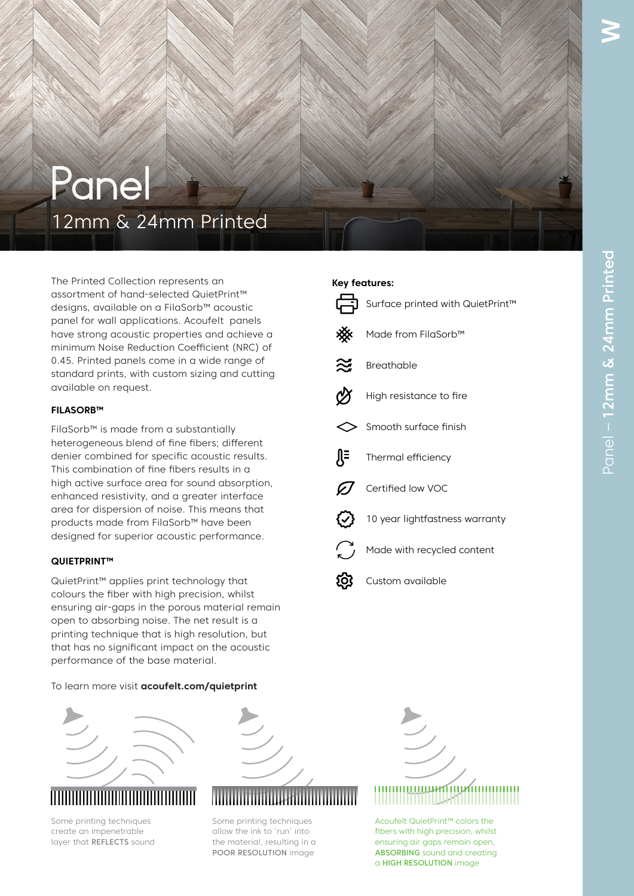# Panel 12mm & 24mm Printed

The Printed Collection represents an assortment of hand-selected QuietPrint™ designs, available on a FilaSorb™ acoustic panel for wall applications. Acoufelt panels have strong acoustic properties and achieve a minimum Noise Reduction Coefficient (NRC) of 0.45. Printed panels come in a wide range of standard prints, with custom sizing and cutting available on request.

## **FILASORB™**

FilaSorb™ is made from a substantially heterogeneous blend of fine fibers; different denier combined for specific acoustic results. This combination of fine fibers results in a high active surface area for sound absorption, enhanced resistivity, and a greater interface area for dispersion of noise. This means that products made from FilaSorb™ have been designed for superior acoustic performance.

## **QUIETPRINT™**

QuietPrint™ applies print technology that colours the fiber with high precision, whilst ensuring air-gaps in the porous material remain open to absorbing noise. The net result is a printing technique that is high resolution, but that has no significant impact on the acoustic performance of the base material.

## To learn more visit **acoufelt.com/quietprint**



Some printing techniques create an impenetrable layer that REFLECTS sound



Some printing techniques allow the ink to 'run' into the material, resulting in a POOR RESOLUTION image



Acoufelt QuietPrint™ colors the fibers with high precision, whilst<br>ensuring air gans remain open ensuring air gaps remain open, ABSORBING sound and creating a HIGH RESOLUTION image

## **Key features:**



**W**